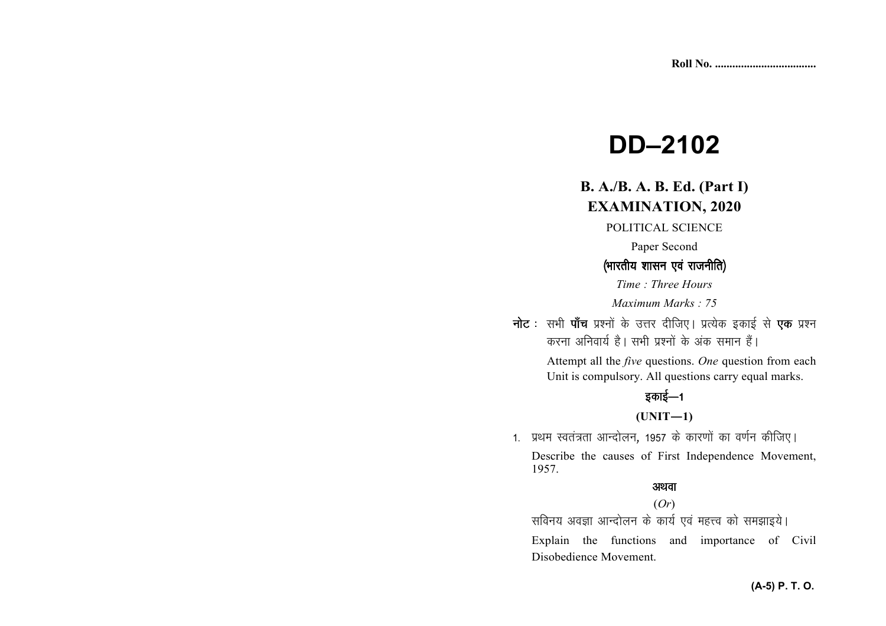# **DD–2102**

## **B. A./B. A. B. Ed. (Part I) EXAMINATION, 2020**

POLITICAL SCIENCE

Paper Second

### (भारतीय शासन एवं राजनीति)

*Time : Three Hours Maximum Marks : 75*

नोट : सभी पाँच प्रश्नों के उत्तर दीजिए। प्रत्येक इकाई से **एक** प्रश्न करना अनिवार्य है। सभी प्रश्नों के अंक समान हैं।

> Attempt all the *five* questions. *One* question from each Unit is compulsory. All questions carry equal marks.

## इकाई—1

#### **(UNIT—1)**

1. प्रथम स्वतंत्रता आन्दोलन, 1957 के कारणों का वर्णन कीजिए।

Describe the causes of First Independence Movement,1957.

#### अथवा

#### (*Or*)

सविनय अवज्ञा आन्दोलन के कार्य एवं महत्त्व को समझाइये।

Explain the functions and importance of Civil Disobedience Movement.